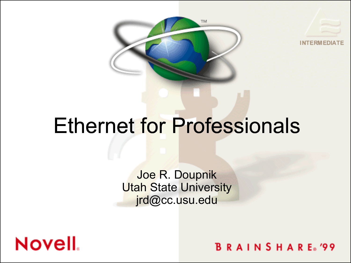



# Ethernet for Professionals

Joe R. Doupnik **Utah State University** jrd@cc.usu.edu



**BRAINSHARE**<sup>99</sup>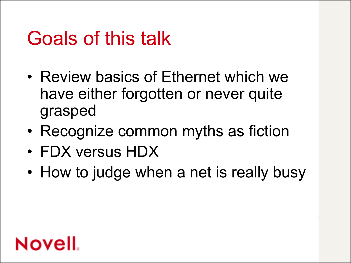## Goals of this talk

- Review basics of Ethernet which we have either forgotten or never quite grasped
- Recognize common myths as fiction
- FDX versus HDX
- How to judge when a net is really busy

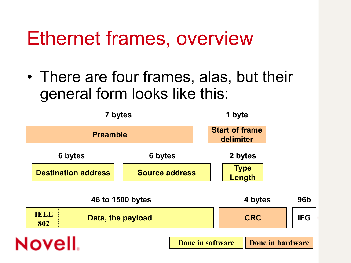#### Ethernet frames, overview

• There are four frames, alas, but their general form looks like this:

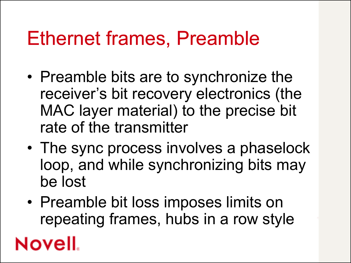#### Ethernet frames, Preamble

- Preamble bits are to synchronize the receiver's bit recovery electronics (the MAC layer material) to the precise bit rate of the transmitter
- The sync process involves a phaselock loop, and while synchronizing bits may be lost
- Preamble bit loss imposes limits on repeating frames, hubs in a row style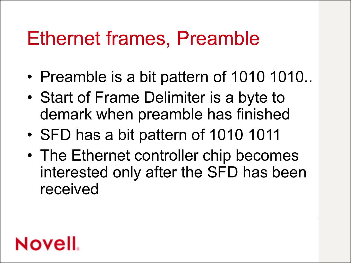#### Ethernet frames, Preamble

- Preamble is a bit pattern of 1010 1010..
- Start of Frame Delimiter is a byte to demark when preamble has finished
- SFD has a bit pattern of 1010 1011
- The Ethernet controller chip becomes interested only after the SFD has been received

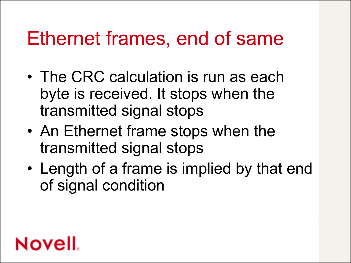#### Ethernet frames, end of same

- The CRC calculation is run as each byte is received. It stops when the transmitted signal stops
- An Ethernet frame stops when the transmitted signal stops
- Length of a frame is implied by that end of signal condition

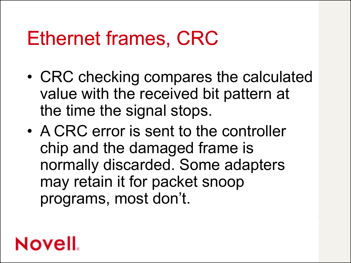#### Ethernet frames, CRC

- CRC checking compares the calculated value with the received bit pattern at the time the signal stops.
- A CRC error is sent to the controller chip and the damaged frame is normally discarded. Some adapters may retain it for packet snoop programs, most don't.

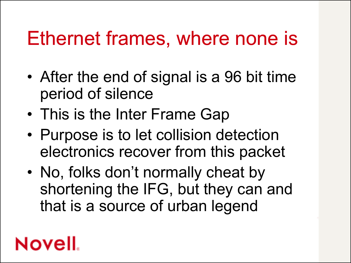#### Ethernet frames, where none is

- After the end of signal is a 96 bit time period of silence
- This is the Inter Frame Gap
- Purpose is to let collision detection electronics recover from this packet
- No, folks don't normally cheat by shortening the IFG, but they can and that is a source of urban legend

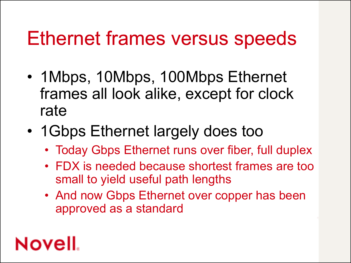#### Ethernet frames versus speeds

- 1 Mbps, 10 Mbps, 100 Mbps Ethernet frames all look alike, except for clock rate
- 1Gbps Ethernet largely does too
	- Today Gbps Ethernet runs over fiber, full duplex
	- FDX is needed because shortest frames are too small to yield useful path lengths
	- And now Gbps Ethernet over copper has been approved as a standard

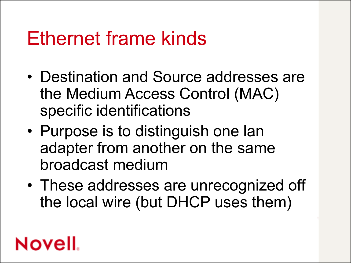#### Ethernet frame kinds

- Destination and Source addresses are the Medium Access Control (MAC) specific identifications
- Purpose is to distinguish one lan adapter from another on the same broadcast medium
- These addresses are unrecognized off the local wire (but DHCP uses them)

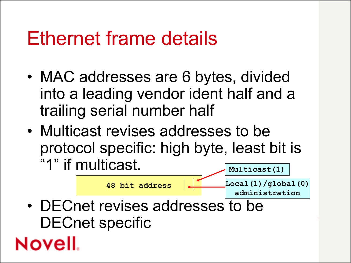#### Ethernet frame details

- MAC addresses are 6 bytes, divided into a leading vendor ident half and a trailing serial number half
- Multicast revises addresses to be protocol specific: high byte, least bit is "1" if multicast. **Multicast(1)**

• DECnet revises addresses to be DECnet specific **48 bit address Local(1)/global(0) administration**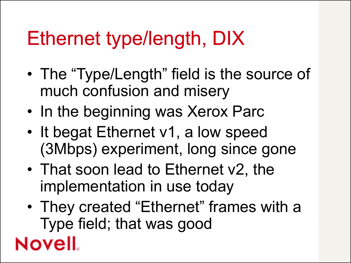# Ethernet type/length, DIX

- The "Type/Length" field is the source of much confusion and misery
- In the beginning was Xerox Parc
- It begat Ethernet v1, a low speed (3Mbps) experiment, long since gone
- That soon lead to Ethernet v2, the implementation in use today

**Novell** 

• They created "Ethernet" frames with a Type field; that was good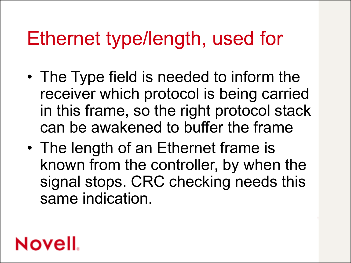### Ethernet type/length, used for

- The Type field is needed to inform the receiver which protocol is being carried in this frame, so the right protocol stack can be awakened to buffer the frame
- The length of an Ethernet frame is known from the controller, by when the signal stops. CRC checking needs this same indication.

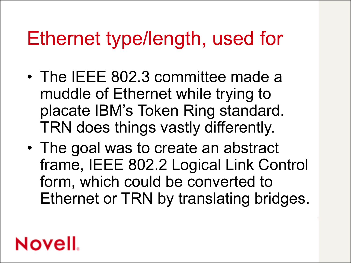### Ethernet type/length, used for

- The IEEE 802.3 committee made a muddle of Ethernet while trying to placate IBM's Token Ring standard. TRN does things vastly differently.
- The goal was to create an abstract frame, IEEE 802.2 Logical Link Control form, which could be converted to Ethernet or TRN by translating bridges.

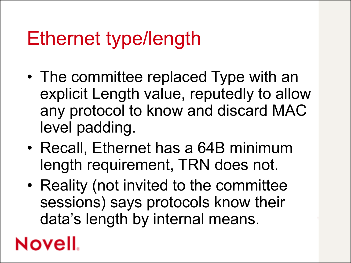# Ethernet type/length

- The committee replaced Type with an explicit Length value, reputedly to allow any protocol to know and discard MAC level padding.
- Recall, Ethernet has a 64B minimum length requirement, TRN does not.
- Reality (not invited to the committee sessions) says protocols know their data's length by internal means.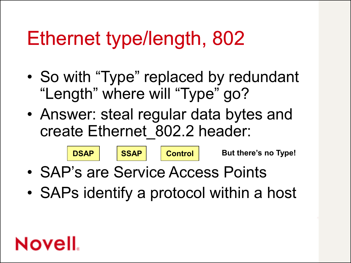# Ethernet type/length, 802

- So with "Type" replaced by redundant "Length" where will "Type" go?
- Answer: steal regular data bytes and create Ethernet\_802.2 header:



• SAPs identify a protocol within a host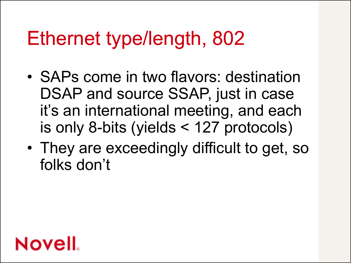# Ethernet type/length, 802

- SAPs come in two flavors: destination DSAP and source SSAP, just in case it's an international meeting, and each is only 8-bits (yields < 127 protocols)
- They are exceedingly difficult to get, so folks don't

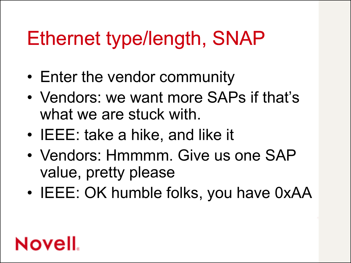# Ethernet type/length, SNAP

- Enter the vendor community
- Vendors: we want more SAPs if that's what we are stuck with.
- IEEE: take a hike, and like it
- Vendors: Hmmmm. Give us one SAP value, pretty please
- IEEE: OK humble folks, you have 0xAA

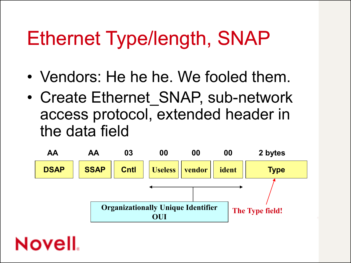# Ethernet Type/length, SNAP

- Vendors: He he he. We fooled them.
- Create Ethernet SNAP, sub-network access protocol, extended header in the data field

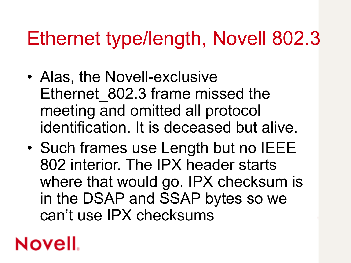# Ethernet type/length, Novell 802.3

- Alas, the Novell-exclusive Ethernet 802.3 frame missed the meeting and omitted all protocol identification. It is deceased but alive.
- Such frames use Length but no IEEE 802 interior. The IPX header starts where that would go. IPX checksum is in the DSAP and SSAP bytes so we can't use IPX checksums

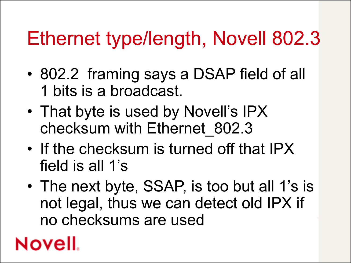# Ethernet type/length, Novell 802.3

- 802.2 framing says a DSAP field of all 1 bits is a broadcast.
- That byte is used by Novell's IPX checksum with Ethernet\_802.3
- If the checksum is turned off that IPX field is all 1's
- The next byte, SSAP, is too but all 1's is not legal, thus we can detect old IPX if no checksums are used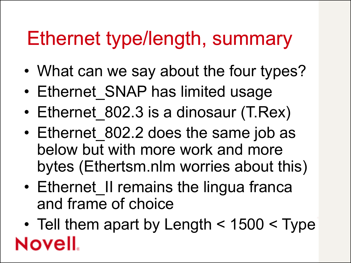#### Ethernet type/length, summary

- What can we say about the four types?
- Ethernet SNAP has limited usage
- Ethernet 802.3 is a dinosaur (T.Rex)
- Ethernet 802.2 does the same job as below but with more work and more bytes (Ethertsm.nlm worries about this)
- Ethernet II remains the lingua franca and frame of choice
- Tell them apart by Length < 1500 < Type**Novell**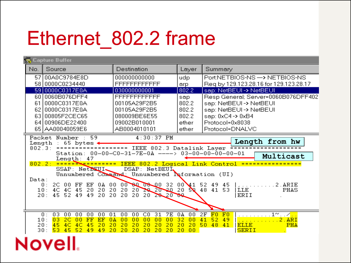# Ethernet\_802.2 frame

| Source<br>Destination<br>No.<br>Layer<br>Summary<br>57 00A0C9784E8D<br>000000000000<br>PortNETBIOS-NS -> NETBIOS-NS<br>udp<br>58 0000C0234440<br>FFFFFFFFFFFF<br>Req by 129.123.28.16 for 129.123.28.17<br>arp<br>802.2<br>59 0000C0317E0A<br>sap: NetBEUI -> NetBEUI<br>030000000001<br>60 0060B076DFF4<br>FFFFFFFFFFFF<br>sap<br>802.2<br>0000C0317E0A<br>sap: NetBEUI -> NetBEUI<br>00105A29F2B5<br>61 I<br>802.2<br>6210000C0317E0A<br>00105A29F2B5<br>sap: NetBEUI -> NetBEUI<br>802.2<br>63 00805F2CEC65<br>080009BE6E55<br>sap: 0xC4 -> 0xB4<br>Protocol=0x8038<br>64 00906DE22400<br>09002B010001<br>ether<br>65 AA00040059E6<br>AB0004010101<br>Protocol=DNALVC<br>ether<br>Packet Number : 59<br>$4:30:37$ PM<br>Length from hw<br>$\therefore$ 65 bytes $\leftarrow$<br>Length<br>---------- IEEE 802.3 Datalink Layer ===========<br>802.3:<br>Station: 00-00-C0-31-7E-0A ----> 03-00-00-00-00-01<br>Multicast<br>Length: 47<br>802.2: ================= IEEE 802.2 Logical Link Control ======<br>SSAP: NetBEUI<br>DSAP: NetBEUI<br>Unnumbered Command: Unnumbered Naformation (UI)<br>Data:<br>00 80 08 00 32 00 41 52 49 45<br>2C 00 FF EF 0A 00<br>2. ARIE<br>0:<br>.<br>$20 \times 20 \times 120$ $30 \times 120$<br>48 41 53<br>20<br>20<br>4C<br>4C 45 20 20<br>  LLE<br>10:<br>PHAS<br>20 20 20 28 20 80<br>ERII<br>45 52<br>49<br>49<br>20<br>20<br>20:<br>00<br>2F<br>F0<br>F0<br>. 1~.⁄ <mark>. .</mark><br>03<br>00<br>00<br>00<br>00<br>01<br>00<br>00<br>CO<br>31<br><b>7E</b><br>0A<br>0:<br>$2.$ ARI<br>03<br>32<br>00<br>10:<br>2 <sub>C</sub><br>00<br>FF<br>00<br>00<br>41<br>$-52$<br>49<br>EF<br>θA<br>00<br>00<br>00 | Capture Buffer |  |    |    |    |    |    |    |    |    |    |    |    |                                     |    |  |       |             |  |  |  |     |  |
|--------------------------------------------------------------------------------------------------------------------------------------------------------------------------------------------------------------------------------------------------------------------------------------------------------------------------------------------------------------------------------------------------------------------------------------------------------------------------------------------------------------------------------------------------------------------------------------------------------------------------------------------------------------------------------------------------------------------------------------------------------------------------------------------------------------------------------------------------------------------------------------------------------------------------------------------------------------------------------------------------------------------------------------------------------------------------------------------------------------------------------------------------------------------------------------------------------------------------------------------------------------------------------------------------------------------------------------------------------------------------------------------------------------------------------------------------------------------------------------------------------------------------------------------------------------------------------------------------------------------------------------------------------|----------------|--|----|----|----|----|----|----|----|----|----|----|----|-------------------------------------|----|--|-------|-------------|--|--|--|-----|--|
|                                                                                                                                                                                                                                                                                                                                                                                                                                                                                                                                                                                                                                                                                                                                                                                                                                                                                                                                                                                                                                                                                                                                                                                                                                                                                                                                                                                                                                                                                                                                                                                                                                                        |                |  |    |    |    |    |    |    |    |    |    |    |    |                                     |    |  |       |             |  |  |  |     |  |
|                                                                                                                                                                                                                                                                                                                                                                                                                                                                                                                                                                                                                                                                                                                                                                                                                                                                                                                                                                                                                                                                                                                                                                                                                                                                                                                                                                                                                                                                                                                                                                                                                                                        |                |  |    |    |    |    |    |    |    |    |    |    |    |                                     |    |  |       |             |  |  |  |     |  |
|                                                                                                                                                                                                                                                                                                                                                                                                                                                                                                                                                                                                                                                                                                                                                                                                                                                                                                                                                                                                                                                                                                                                                                                                                                                                                                                                                                                                                                                                                                                                                                                                                                                        |                |  |    |    |    |    |    |    |    |    |    |    |    |                                     |    |  |       |             |  |  |  |     |  |
|                                                                                                                                                                                                                                                                                                                                                                                                                                                                                                                                                                                                                                                                                                                                                                                                                                                                                                                                                                                                                                                                                                                                                                                                                                                                                                                                                                                                                                                                                                                                                                                                                                                        |                |  |    |    |    |    |    |    |    |    |    |    |    | Resp General; Server=0060B076DFF402 |    |  |       |             |  |  |  |     |  |
|                                                                                                                                                                                                                                                                                                                                                                                                                                                                                                                                                                                                                                                                                                                                                                                                                                                                                                                                                                                                                                                                                                                                                                                                                                                                                                                                                                                                                                                                                                                                                                                                                                                        |                |  |    |    |    |    |    |    |    |    |    |    |    |                                     |    |  |       |             |  |  |  |     |  |
|                                                                                                                                                                                                                                                                                                                                                                                                                                                                                                                                                                                                                                                                                                                                                                                                                                                                                                                                                                                                                                                                                                                                                                                                                                                                                                                                                                                                                                                                                                                                                                                                                                                        |                |  |    |    |    |    |    |    |    |    |    |    |    |                                     |    |  |       |             |  |  |  |     |  |
| 20:<br>50, 48<br>53<br>20<br>20<br>20<br>30:<br>45<br>52<br>49<br>20<br>20<br>20<br>-20<br>00<br><b>SERII</b><br>49                                                                                                                                                                                                                                                                                                                                                                                                                                                                                                                                                                                                                                                                                                                                                                                                                                                                                                                                                                                                                                                                                                                                                                                                                                                                                                                                                                                                                                                                                                                                    |                |  | 45 | 4C | 4C | 45 | 20 | 20 | 20 | 20 | 20 | 20 | 20 | 20                                  | 20 |  | $-41$ | <b>ELLE</b> |  |  |  | PHA |  |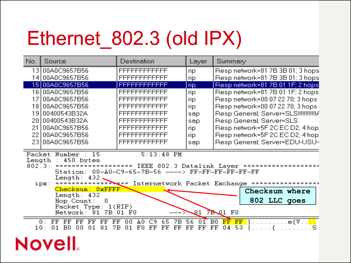# Ethernet\_802.3 (old IPX)

| No.                        | Source                                                                                                                                                       | Destination                                                                                                                | Layer                | Summary                                                                                  |  |  |  |  |  |  |  |
|----------------------------|--------------------------------------------------------------------------------------------------------------------------------------------------------------|----------------------------------------------------------------------------------------------------------------------------|----------------------|------------------------------------------------------------------------------------------|--|--|--|--|--|--|--|
| 13 I                       | 00A0C9657B56                                                                                                                                                 | FFFFFFFFFFFF                                                                                                               | rip                  | Resp network=81 7B 3B 01; 3 hops                                                         |  |  |  |  |  |  |  |
|                            | 14 00A0C9657B56                                                                                                                                              | FFFFFFFFFFFF                                                                                                               | rip                  | Resp network=81 7B 3B 01; 3 hops                                                         |  |  |  |  |  |  |  |
| 15 I                       | 00A0C9657B56                                                                                                                                                 | FFFFFFFFFFFF                                                                                                               | rip                  | Respinetwork=81 7B 01 1F; 2 hops                                                         |  |  |  |  |  |  |  |
| 161                        | 00A0C9657B56                                                                                                                                                 | FFFFFFFFFFFF                                                                                                               | rip                  | Resp network=81 7B 01 1F; 2 hops                                                         |  |  |  |  |  |  |  |
|                            | 00A0C9657B56                                                                                                                                                 | FFFFFFFFFFFF                                                                                                               | rip.                 | Resp network=00 07 22 70; 3 hops                                                         |  |  |  |  |  |  |  |
| 181                        | 00A0C9657B56                                                                                                                                                 | FFFFFFFFFFFF                                                                                                               | rip                  | Respinetwork=00 07 22 70; 3 hops                                                         |  |  |  |  |  |  |  |
| 19                         | 00400543B32A                                                                                                                                                 | FFFFFFFFFFFF                                                                                                               | sap                  | Resp General; Server=SLS!!!!!!!!!!!!!                                                    |  |  |  |  |  |  |  |
| 20                         | Resp General; Server=SLS<br>00400543B32A<br>FFFFFFFFFFFF<br>sap                                                                                              |                                                                                                                            |                      |                                                                                          |  |  |  |  |  |  |  |
| 21                         | 00A0C9657B56                                                                                                                                                 | FFFFFFFFFFFF                                                                                                               | rip                  | Respinetwork=5F2CECD2; 4 hop                                                             |  |  |  |  |  |  |  |
| 22                         | Respinetwork=5F2CECD2; 4 hop<br>00A0C9657B56<br>FFFFFFFFFFFF<br>rip                                                                                          |                                                                                                                            |                      |                                                                                          |  |  |  |  |  |  |  |
| 23 I                       | 00A0C9657B56                                                                                                                                                 | FFFFFFFFFFFF                                                                                                               | sap                  | Resp General; Server=EDU-USU-                                                            |  |  |  |  |  |  |  |
| Packet<br>Length<br>802.3: | Number<br>-15<br>450 bytes<br>Length: 432<br>ipx:<br>Checksum:<br>$0x$ FFFF<br>Length: 432<br>Hop Count:<br>0<br>Packet Type: 1(RIP)<br>7B<br>Network:<br>81 | $5:13:48$ PM<br>IEEE 802.3 Datalink Layer<br>Station: 00-A0-C9-65-7B-56 ----> FF-FF-FF-FF-FF-FF<br>$=$ $=$ $=$<br>01<br>F0 | 21                   | =====<br>Internetwork Packet Exchange =====<br>Checksum where<br>802 LLC goes<br>7BQ1 F0 |  |  |  |  |  |  |  |
| 10:                        | 0:<br>FF<br>FF<br>FF<br>FF<br>FF<br>FF<br>B0<br>8<br>nn<br>7В<br>n1                                                                                          | C9<br>ΑO<br>۵O<br>65<br>7В<br>F<br>FF<br>FF<br>01<br>FF<br>п                                                               | 01<br>56<br>FF<br>FF | B <sub>0</sub><br>. <b>e</b> {V. . <mark>. .</mark><br>FF<br>FF<br>53<br>FF<br>Ω4        |  |  |  |  |  |  |  |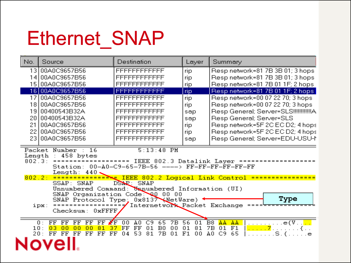## Ethernet\_SNAP

| No.                                  | Source                                                                                                                           | Destination                                                                                                                                                                                                                         | Layer                            | Summary                                                                                        |  |  |  |  |  |
|--------------------------------------|----------------------------------------------------------------------------------------------------------------------------------|-------------------------------------------------------------------------------------------------------------------------------------------------------------------------------------------------------------------------------------|----------------------------------|------------------------------------------------------------------------------------------------|--|--|--|--|--|
| 13.                                  | 00A0C9657B56                                                                                                                     | FFFFFFFFFFFF                                                                                                                                                                                                                        | rip                              | Respinetwork=81 7B 3B 01; 3 hops                                                               |  |  |  |  |  |
| 14                                   | 00A0C9657B56                                                                                                                     | FFFFFFFFFFFF                                                                                                                                                                                                                        | rip.                             | Respinetwork=81 7B 3B 01; 3 hops                                                               |  |  |  |  |  |
| 15                                   | 00A0C9657B56                                                                                                                     | FFFFFFFFFFFF                                                                                                                                                                                                                        | rip                              | Respinetwork=81 7B 01 1F; 2 hops.                                                              |  |  |  |  |  |
|                                      | 16 00A0C9657B56                                                                                                                  | FFFFFFFFFFFF                                                                                                                                                                                                                        | rip                              | Respinetwork=81 7B 01 1F; 2 hops                                                               |  |  |  |  |  |
| 17                                   | 00A0C9657B56                                                                                                                     | FFFFFFFFFFFF                                                                                                                                                                                                                        | rip.                             | Respinetwork=00 07 22 70; 3 hops                                                               |  |  |  |  |  |
| 181                                  | 00A0C9657B56                                                                                                                     | FFFFFFFFFFFF                                                                                                                                                                                                                        | rip                              | Respinetwork=00 07 22 70; 3 hops                                                               |  |  |  |  |  |
| 19                                   | 00400543B32A                                                                                                                     | FFFFFFFFFFFF                                                                                                                                                                                                                        | sap                              | Resp General; Server=SLS!!!!!!!!!!!!A                                                          |  |  |  |  |  |
| 20                                   | 00400543B32A                                                                                                                     | FFFFFFFFFFFF                                                                                                                                                                                                                        | sap                              | Resp General; Server=SLS                                                                       |  |  |  |  |  |
| 21                                   | 00A0C9657B56                                                                                                                     | FFFFFFFFFFFF                                                                                                                                                                                                                        | rip                              | Respinetwork=5F 2C EC D2; 4 hops                                                               |  |  |  |  |  |
| 22                                   | 00A0C9657B56                                                                                                                     | FFFFFFFFFFFF                                                                                                                                                                                                                        | rip                              | Respinetwork=5F 2C EC D2; 4 hops                                                               |  |  |  |  |  |
| 23.                                  | 00A0C9657B56                                                                                                                     | FFFFFFFFFFFF                                                                                                                                                                                                                        | sap                              | Resp General; Server=EDU-USU-1                                                                 |  |  |  |  |  |
| Packet<br>Length<br>802.3:<br>802.2: | Number : 16<br>458 bytes<br>==============<br>Length: 440<br>SSAP: SNAP<br>SNAP Protocol Type;<br>ipx:<br>Checksum:<br>$0x$ FFFF | $5:13:48$ PM<br>Station: 00-A0-C9-65-7B-56 ----> FF-FF-FF-FF-FF-FF<br>$=$<br>DSAP: SNAP<br>Unnumbered Command: Unnumbered Information (UI)<br>SNAP Organization Code: 00 00 00<br>$0x8137$ NetWare)<br>Internetwork Packet Exchange |                                  | IEEE 802.3 Datalink Layer =====<br>IEEE 802.2 Logical Link Control =============<br>Type       |  |  |  |  |  |
| 10:<br>20 :                          | 0:<br>FF<br>ÆF<br>FF<br>FF<br>FF<br>FF<br>37<br>03<br>n۵<br>FF<br>FF<br>FF<br>FF<br>FF                                           | A0<br>65<br>00<br>C9<br>7В<br>FF<br>FF<br>01<br>B <sub>0</sub><br>00<br>53<br>81<br>7В<br>04<br>01                                                                                                                                  | 56<br>01<br>01<br>81<br>F1<br>00 | B8<br>AA<br>AA<br>. <u>. .</u> e{V <mark>. .</mark><br>7В<br>01<br>F1<br>. 7<br>ΑO<br>C9<br>65 |  |  |  |  |  |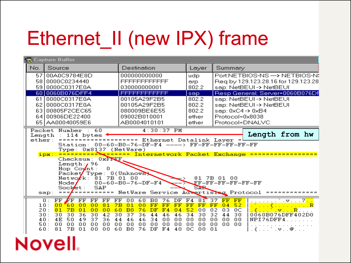# Ethernet\_II (new IPX) frame

| Capture Buffer                             |                                                                                                                                                                                                                                                                                   |                                          |                                        |                                        |                                        |                                                                              |                                        |                                        |                                        |                                         |                                                    |                                           |                                        |                                                                                                             |                                  |                                                                                                                                                |                                                                                                               |                            |  |  |
|--------------------------------------------|-----------------------------------------------------------------------------------------------------------------------------------------------------------------------------------------------------------------------------------------------------------------------------------|------------------------------------------|----------------------------------------|----------------------------------------|----------------------------------------|------------------------------------------------------------------------------|----------------------------------------|----------------------------------------|----------------------------------------|-----------------------------------------|----------------------------------------------------|-------------------------------------------|----------------------------------------|-------------------------------------------------------------------------------------------------------------|----------------------------------|------------------------------------------------------------------------------------------------------------------------------------------------|---------------------------------------------------------------------------------------------------------------|----------------------------|--|--|
| No.                                        | Source                                                                                                                                                                                                                                                                            |                                          |                                        |                                        |                                        |                                                                              | Destination                            |                                        |                                        |                                         |                                                    | Layer                                     |                                        | Summary                                                                                                     |                                  |                                                                                                                                                |                                                                                                               |                            |  |  |
| 57                                         | 00A0C9784E8D<br>58 0000C0234440<br>59 0000C0317E0A                                                                                                                                                                                                                                |                                          |                                        |                                        |                                        | 000000000000<br>FFFFFFFFFFFF<br>030000000001                                 |                                        |                                        |                                        |                                         |                                                    | udp<br>arp<br>802.2                       |                                        | Port:NETBIOS-NS -> NETBIOS-N:<br>Req by 129.123.28.16 for 129.123.28<br>sap: NetBEUI-> NetBEUI              |                                  |                                                                                                                                                |                                                                                                               |                            |  |  |
| 60                                         | 0060B076DFF4                                                                                                                                                                                                                                                                      |                                          |                                        |                                        |                                        | FFFFFFFFFFFF                                                                 |                                        |                                        |                                        |                                         | sap.                                               |                                           |                                        | Resp General; Server=0060B076DF                                                                             |                                  |                                                                                                                                                |                                                                                                               |                            |  |  |
| 61<br>62<br>63                             | 0000C0317E0A<br>0000C0317E0A<br>00805F2CEC65<br>64 00906DE22400<br>65 AA00040059E6                                                                                                                                                                                                |                                          |                                        |                                        |                                        | 00105A29F2B5<br>00105A29F2B5<br>080009BE6E55<br>09002B010001<br>AB0004010101 |                                        |                                        |                                        |                                         |                                                    | 802.2<br>802.2<br>802.2<br>ether<br>ether |                                        | sap: NetBEUI-> NetBEUI<br>sap: NetBEUI-> NetBEUI<br>sap: 0xC4 -> 0xB4<br>Protocol=0x8038<br>Protocol=DNALVC |                                  |                                                                                                                                                |                                                                                                               |                            |  |  |
| Length<br>ether:                           | Packet Number : 60<br>$: 114$ bytes<br>Station: 00-60-B0-76-DF-F4 ----> FF-FF-FF-FF-FF-FF<br>Type: 0x8137 (NetWare)<br>ipx:<br>Checksum: 0xFEEF<br>Length: $/96$<br>$Hop$ Co $\sqrt{nt}$ :<br>Packet Type: 0(Unknown)<br>Netwo <i>r</i> k:<br>Node/<br>Socket:<br>$\texttt{sup}:$ | ================ Ethernet Datalink Layer | 81.<br>SAP                             | 0<br>00-60-B0-76-DF-F4                 | 7B 01 00                               |                                                                              |                                        |                                        | $4:30:37$ PM                           |                                         |                                                    | 81 7B 01 00<br>SAR                        |                                        |                                                                                                             |                                  | Length from hw<br>Internetwork Packet Exchange ==================<br>FF-FF-FF-FF-FF-FF<br>=== =========== NetWare Service Advertising Protocol |                                                                                                               |                            |  |  |
| 10:<br>20 :<br>30:<br>40 :<br>50 :<br>60 : | FF<br><b>FF</b><br>0:<br>60<br>nn<br>81<br><b>7B</b><br>30<br>30<br>4E<br>50<br>00<br>00<br>81<br>7В                                                                                                                                                                              | FF<br>nn<br>01<br>36<br>49<br>00<br>01   | FF<br>00<br>00<br>30<br>37<br>00<br>00 | FF<br>81<br>00<br>42<br>36<br>00<br>00 | FF<br>7В<br>60<br>30<br>44<br>00<br>60 | 00<br>01<br>B0<br>37<br>46<br>00<br>B <sub>0</sub>                           | 60<br>nn<br>76<br>36<br>46<br>00<br>76 | B0<br>FF<br>DF<br>44<br>34<br>00<br>DF | 76<br>FF<br>FA<br>46<br>00<br>۵O<br>FA | DF<br>FF<br>04<br>46<br>00<br>00<br>40. | F <sub>4</sub><br>FF<br>52<br>34<br>00<br>00<br>ОC | 81<br>FF<br>00<br>30<br>00<br>00<br>00    | 37<br>FF<br>02<br>32<br>00<br>00<br>01 | FF<br>04<br>03<br>44<br>00<br>00                                                                            | FF<br>52<br>ОC<br>30<br>00<br>00 |                                                                                                                                                | . . ` . v R<br>0060B076DFF402D0<br>NPI76DFF4<br>$\{ \ldots \wedge \mathbf{v} \ldots \mathbf{\Theta}_{n} \}$ . | <u>. 7<mark>. .</mark></u> |  |  |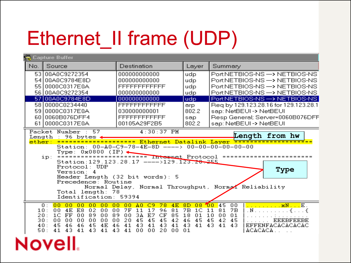# Ethernet\_II frame (UDP)

|      | Capture Buffer                                                                                                                                                                                                                 |                                                                                                                                                                                                                               |                                                                             |                                                                                                                                                                                                              |  |  |  |  |  |  |  |
|------|--------------------------------------------------------------------------------------------------------------------------------------------------------------------------------------------------------------------------------|-------------------------------------------------------------------------------------------------------------------------------------------------------------------------------------------------------------------------------|-----------------------------------------------------------------------------|--------------------------------------------------------------------------------------------------------------------------------------------------------------------------------------------------------------|--|--|--|--|--|--|--|
| No.  | Source                                                                                                                                                                                                                         | Destination                                                                                                                                                                                                                   | Layer                                                                       | Summary                                                                                                                                                                                                      |  |  |  |  |  |  |  |
| 53 l | 00A0C9272354                                                                                                                                                                                                                   | 000000000000                                                                                                                                                                                                                  | udp                                                                         | PortNETBIOS-NS -> NETBIOS-NS                                                                                                                                                                                 |  |  |  |  |  |  |  |
| 541  | 00A0C9784E8D                                                                                                                                                                                                                   | 000000000000                                                                                                                                                                                                                  | udp                                                                         | Port:NETBIOS-NS -> NETBIOS-NS                                                                                                                                                                                |  |  |  |  |  |  |  |
| 551  | 0000C0317E0A                                                                                                                                                                                                                   | FFFFFFFFFFFF                                                                                                                                                                                                                  | udp                                                                         | Port:NETBIOS-NS -> NETBIOS-NS                                                                                                                                                                                |  |  |  |  |  |  |  |
| 56 I | 00A0C9272354                                                                                                                                                                                                                   | 000000000000                                                                                                                                                                                                                  | udp                                                                         | Port:NETBIOS-NS -> NETBIOS-NS                                                                                                                                                                                |  |  |  |  |  |  |  |
| 58 I | 57 00A0C9784E8D<br>0000C0234440                                                                                                                                                                                                | 000000000000<br>FFFFFFFFFFFF                                                                                                                                                                                                  | udp.<br>arp.                                                                | PortNETBIOS-NS -> NETBIOS-NS<br>Reg by 129.123.28.16 for 129.123.28.1                                                                                                                                        |  |  |  |  |  |  |  |
| 59 I | 0000C0317E0A                                                                                                                                                                                                                   | 030000000001                                                                                                                                                                                                                  | 802.2                                                                       | sap: NetBEUI-> NetBEUI                                                                                                                                                                                       |  |  |  |  |  |  |  |
| 60 I | 0060B076DFF4                                                                                                                                                                                                                   | FFFFFFFFFFFF                                                                                                                                                                                                                  | sap                                                                         | Resp General; Server=0060B076DFF                                                                                                                                                                             |  |  |  |  |  |  |  |
| 61 I | 0000C0317E0A                                                                                                                                                                                                                   | 00105A29F2B5                                                                                                                                                                                                                  | 802.2                                                                       | sap: NetBEUI -> NetBEUI                                                                                                                                                                                      |  |  |  |  |  |  |  |
|      | Packet Number : 57<br>Length<br>: 96 bytes⊲<br>ether:<br>ip:<br>Protocol: UDP<br>Version: 4<br>Precedence: Routine<br>Total length: 78<br>Identification: 59394                                                                | $4:30:37$ PM<br>Station: 00-A0-C9-78-4E-8D ----> 00-00-00-00-00-00<br>Type: 0x0800 (IP)<br>========================== Internet Protocol<br>Station: 129.123.28.17 ---->129.123.28.255<br>Header Length (32 bit words): 5      |                                                                             | Length from hw<br>===========<br>Type<br>Normal Delay, Normal Throughput, Normal Reliability                                                                                                                 |  |  |  |  |  |  |  |
|      | 0:<br>00<br>00<br>00<br>00<br>'nn<br>02<br>10:<br>00<br>4E<br>E8.<br>00<br>89<br>20:<br>1C<br>FF<br>00<br>00<br>00<br>00<br>00<br>00<br>30:<br>00<br>45<br>46<br>46<br>45<br>4E<br>40:<br>41<br>43<br>41<br>43<br>41 43<br>50: | 00<br>C9<br>$-78$<br>4E<br>00<br>A <sub>0</sub><br>00<br>11<br>17<br>96<br>81<br>7F<br>3A<br>89<br>00<br>E7<br>CF<br>85<br>00<br>20<br>45<br>45<br>45<br>42<br>46<br>43<br>41<br>41<br>43<br>41<br>41<br>00<br>00<br>20<br>00 | 8D<br>08<br>7B<br>1 <sup>C</sup><br>18<br>01<br>46<br>45<br>43.<br>41<br>01 | <u>. xN E .</u><br>45<br>00<br><b>100</b><br>$\mathbf{N}$ $\{ \ldots, \}$<br>11<br><b>7B</b><br>81<br>10<br>01<br>00<br><b>EEEBFEEBE</b><br>45<br>45<br>42<br>43<br>EFFENFACACACACAC<br>41<br>43.<br>ACACACA |  |  |  |  |  |  |  |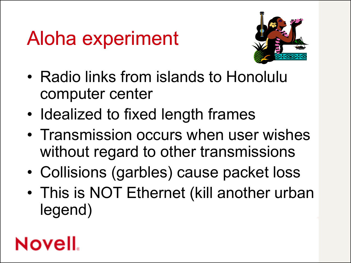# Aloha experiment



- Radio links from islands to Honolulu computer center
- Idealized to fixed length frames
- Transmission occurs when user wishes without regard to other transmissions
- Collisions (garbles) cause packet loss
- This is NOT Ethernet (kill another urban legend)

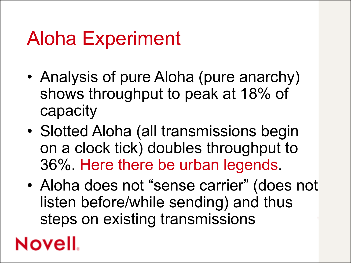# Aloha Experiment

- Analysis of pure Aloha (pure anarchy) shows throughput to peak at 18% of capacity
- Slotted Aloha (all transmissions begin on a clock tick) doubles throughput to 36%. Here there be urban legends.
- Aloha does not "sense carrier" (does not listen before/while sending) and thus steps on existing transmissions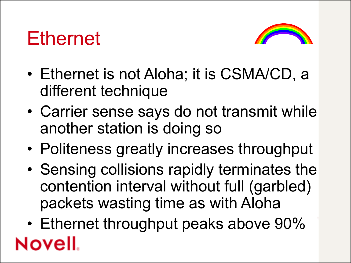#### Ethernet



- Ethernet is not Aloha; it is CSMA/CD, a different technique
- Carrier sense says do not transmit while another station is doing so
- Politeness greatly increases throughput
- Sensing collisions rapidly terminates the contention interval without full (garbled) packets wasting time as with Aloha
- Ethernet throughput peaks above 90% Novell.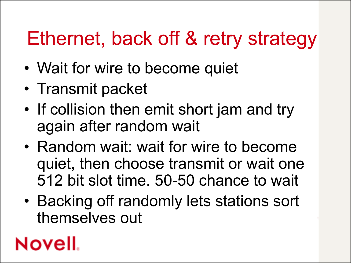# Ethernet, back off & retry strategy

- Wait for wire to become quiet
- Transmit packet
- If collision then emit short jam and try again after random wait
- Random wait: wait for wire to become quiet, then choose transmit or wait one 512 bit slot time. 50-50 chance to wait
- Backing off randomly lets stations sort themselves out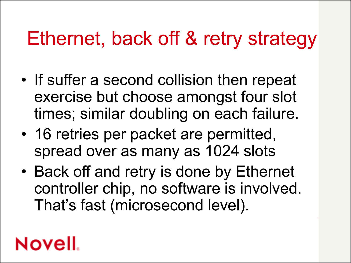### Ethernet, back off & retry strategy

- If suffer a second collision then repeat exercise but choose amongst four slot times; similar doubling on each failure.
- 16 retries per packet are permitted, spread over as many as 1024 slots
- Back off and retry is done by Ethernet controller chip, no software is involved. That's fast (microsecond level).

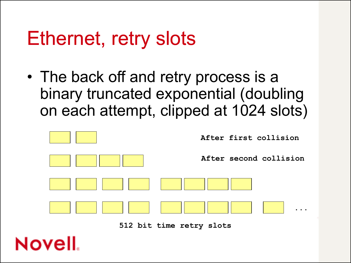#### Ethernet, retry slots

• The back off and retry process is a binary truncated exponential (doubling on each attempt, clipped at 1024 slots)



**512 bit time retry slots**

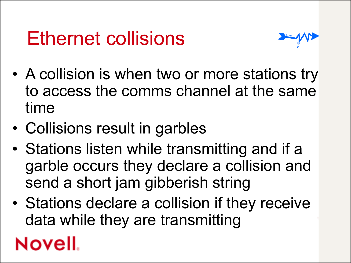## Ethernet collisions



- A collision is when two or more stations try to access the comms channel at the same time
- Collisions result in garbles
- Stations listen while transmitting and if a garble occurs they declare a collision and send a short jam gibberish string
- Stations declare a collision if they receive data while they are transmitting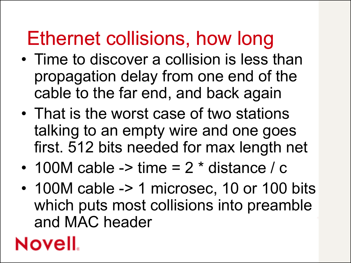## Ethernet collisions, how long

- Time to discover a collision is less than propagation delay from one end of the cable to the far end, and back again
- That is the worst case of two stations talking to an empty wire and one goes first. 512 bits needed for max length net
- 100M cable -> time  $= 2 *$  distance / c
- 100M cable -> 1 microsec, 10 or 100 bits which puts most collisions into preamble and MAC header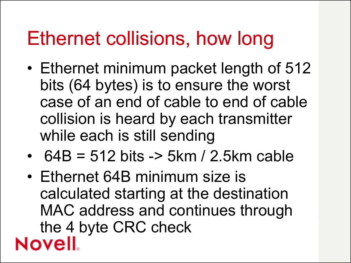#### Ethernet collisions, how long

- Ethernet minimum packet length of 512 bits (64 bytes) is to ensure the worst case of an end of cable to end of cable collision is heard by each transmitter while each is still sending
- $64B = 512 \text{ bits}$  -> 5km / 2.5km cable
- Ethernet 64B minimum size is calculated starting at the destination MAC address and continues through the 4 byte CRC check**Novell**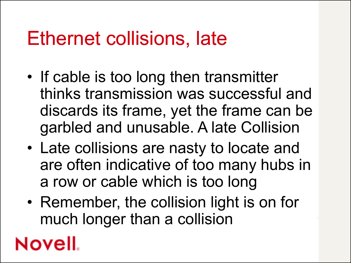#### Ethernet collisions, late

- If cable is too long then transmitter thinks transmission was successful and discards its frame, yet the frame can be garbled and unusable. A late Collision
- Late collisions are nasty to locate and are often indicative of too many hubs in a row or cable which is too long
- Remember, the collision light is on for much longer than a collision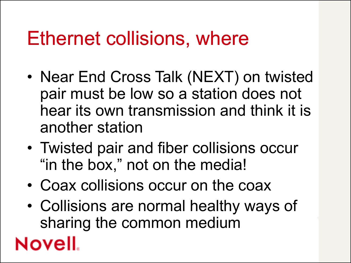#### Ethernet collisions, where

- Near End Cross Talk (NEXT) on twisted pair must be low so a station does not hear its own transmission and think it is another station
- Twisted pair and fiber collisions occur "in the box," not on the media!
- Coax collisions occur on the coax
- Collisions are normal healthy ways of sharing the common medium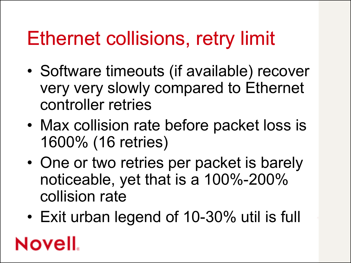## Ethernet collisions, retry limit

- Software timeouts (if available) recover very very slowly compared to Ethernet controller retries
- Max collision rate before packet loss is 1600% (16 retries)
- One or two retries per packet is barely noticeable, yet that is a 100%-200% collision rate
- Exit urban legend of 10-30% util is full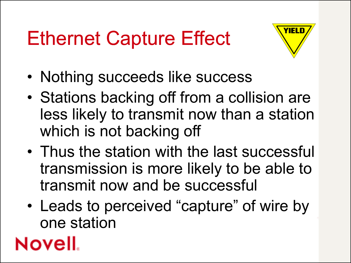# Ethernet Capture Effect



- Nothing succeeds like success
- Stations backing off from a collision are less likely to transmit now than a station which is not backing off
- Thus the station with the last successful transmission is more likely to be able to transmit now and be successful
- Leads to perceived "capture" of wire by one station

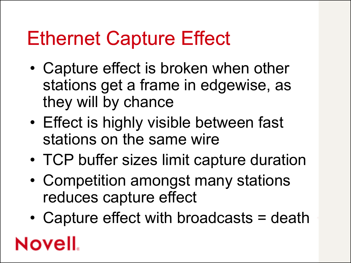#### Ethernet Capture Effect

- Capture effect is broken when other stations get a frame in edgewise, as they will by chance
- Effect is highly visible between fast stations on the same wire
- TCP buffer sizes limit capture duration
- Competition amongst many stations reduces capture effect
- Capture effect with broadcasts = death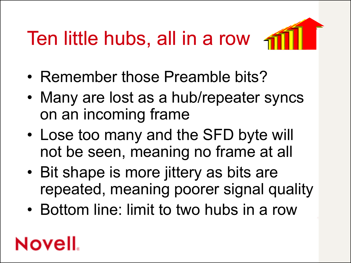# Ten little hubs, all in a row



- Remember those Preamble bits?
- Many are lost as a hub/repeater syncs on an incoming frame
- Lose too many and the SFD byte will not be seen, meaning no frame at all
- Bit shape is more jittery as bits are repeated, meaning poorer signal quality
- Bottom line: limit to two hubs in a row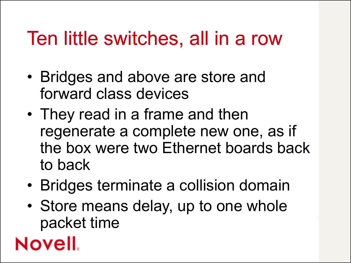## Ten little switches, all in a row

- Bridges and above are store and forward class devices
- They read in a frame and then regenerate a complete new one, as if the box were two Ethernet boards back to back
- Bridges terminate a collision domain
- Store means delay, up to one whole packet time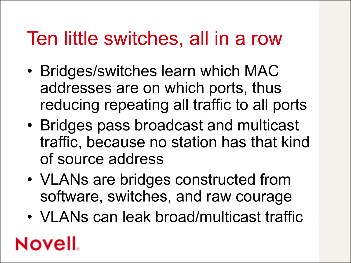### Ten little switches, all in a row

- Bridges/switches learn which MAC addresses are on which ports, thus reducing repeating all traffic to all ports
- Bridges pass broadcast and multicast traffic, because no station has that kind of source address
- VLANs are bridges constructed from software, switches, and raw courage
- VLANs can leak broad/multicast traffic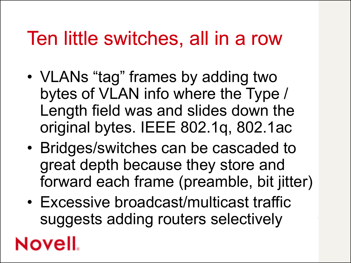## Ten little switches, all in a row

- VLANs "tag" frames by adding two bytes of VLAN info where the Type / Length field was and slides down the original bytes. IEEE 802.1q, 802.1ac
- Bridges/switches can be cascaded to great depth because they store and forward each frame (preamble, bit jitter)
- Excessive broadcast/multicast traffic suggests adding routers selectively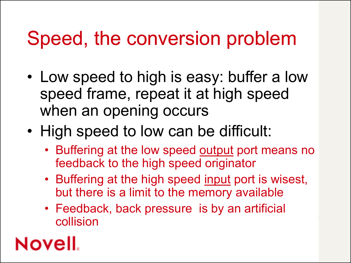### Speed, the conversion problem

- Low speed to high is easy: buffer a low speed frame, repeat it at high speed when an opening occurs
- High speed to low can be difficult:
	- Buffering at the low speed output port means no feedback to the high speed originator
	- Buffering at the high speed input port is wisest, but there is a limit to the memory available
	- Feedback, back pressure is by an artificial collision

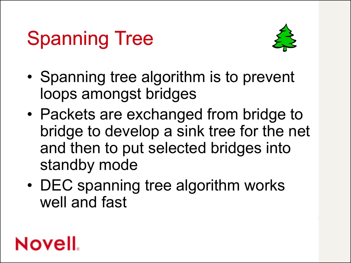# Spanning Tree



- Spanning tree algorithm is to prevent loops amongst bridges
- Packets are exchanged from bridge to bridge to develop a sink tree for the net and then to put selected bridges into standby mode
- DEC spanning tree algorithm works well and fast

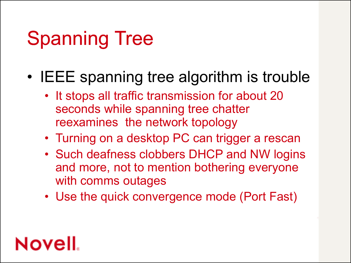# Spanning Tree

- IEEE spanning tree algorithm is trouble
	- It stops all traffic transmission for about 20 seconds while spanning tree chatter reexamines the network topology
	- Turning on a desktop PC can trigger a rescan
	- Such deafness clobbers DHCP and NW logins and more, not to mention bothering everyone with comms outages
	- Use the quick convergence mode (Port Fast)

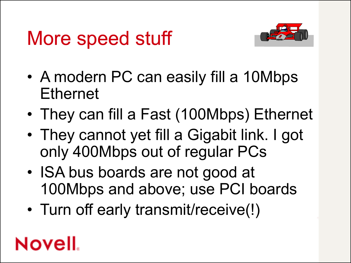## More speed stuff



- A modern PC can easily fill a 10Mbps **Ethernet**
- They can fill a Fast (100Mbps) Ethernet
- They cannot yet fill a Gigabit link. I got only 400Mbps out of regular PCs
- ISA bus boards are not good at 100Mbps and above; use PCI boards
- Turn off early transmit/receive(!)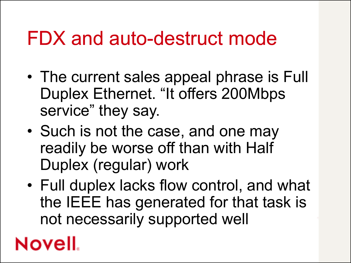#### FDX and auto-destruct mode

- The current sales appeal phrase is Full Duplex Ethernet. "It offers 200Mbps service" they say.
- Such is not the case, and one may readily be worse off than with Half Duplex (regular) work
- Full duplex lacks flow control, and what the IEEE has generated for that task is not necessarily supported well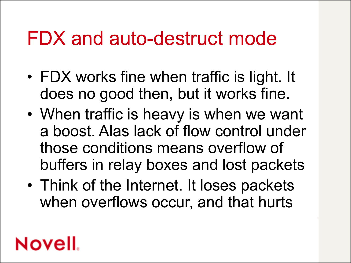#### FDX and auto-destruct mode

- FDX works fine when traffic is light. It does no good then, but it works fine.
- When traffic is heavy is when we want a boost. Alas lack of flow control under those conditions means overflow of buffers in relay boxes and lost packets
- Think of the Internet. It loses packets when overflows occur, and that hurts

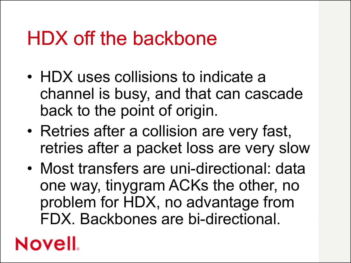#### HDX off the backbone

- HDX uses collisions to indicate a channel is busy, and that can cascade back to the point of origin.
- Retries after a collision are very fast, retries after a packet loss are very slow
- Most transfers are uni-directional: data one way, tinygram ACKs the other, no problem for HDX, no advantage from FDX. Backbones are bi-directional.

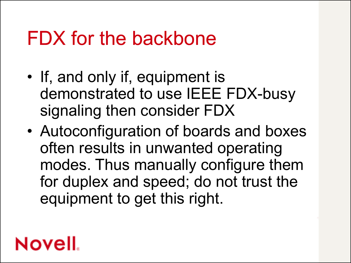#### FDX for the backbone

- If, and only if, equipment is demonstrated to use IEEE FDX-busy signaling then consider FDX
- Autoconfiguration of boards and boxes often results in unwanted operating modes. Thus manually configure them for duplex and speed; do not trust the equipment to get this right.

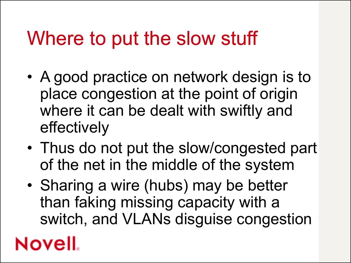## Where to put the slow stuff

- A good practice on network design is to place congestion at the point of origin where it can be dealt with swiftly and effectively
- Thus do not put the slow/congested part of the net in the middle of the system
- Sharing a wire (hubs) may be better than faking missing capacity with a switch, and VLANs disguise congestion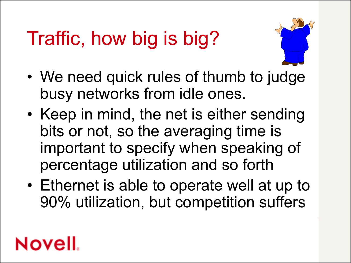# Traffic, how big is big?



- We need quick rules of thumb to judge busy networks from idle ones.
- Keep in mind, the net is either sending bits or not, so the averaging time is important to specify when speaking of percentage utilization and so forth
- Ethernet is able to operate well at up to 90% utilization, but competition suffers

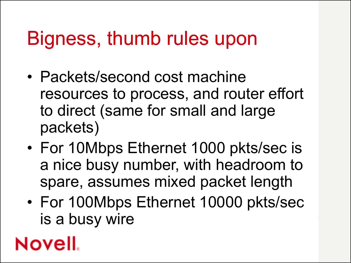#### Bigness, thumb rules upon

- Packets/second cost machine resources to process, and router effort to direct (same for small and large packets)
- For 10Mbps Ethernet 1000 pkts/sec is a nice busy number, with headroom to spare, assumes mixed packet length
- For 100Mbps Ethernet 10000 pkts/sec is a busy wire

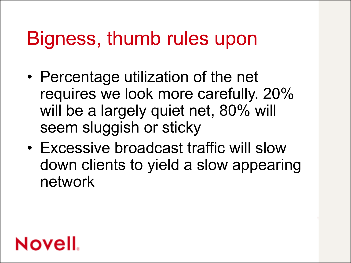#### Bigness, thumb rules upon

- Percentage utilization of the net requires we look more carefully. 20% will be a largely quiet net, 80% will seem sluggish or sticky
- Excessive broadcast traffic will slow down clients to yield a slow appearing network

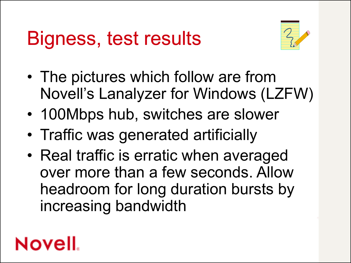

- The pictures which follow are from Novell's Lanalyzer for Windows (LZFW)
- 100Mbps hub, switches are slower
- Traffic was generated artificially
- Real traffic is erratic when averaged over more than a few seconds. Allow headroom for long duration bursts by increasing bandwidth

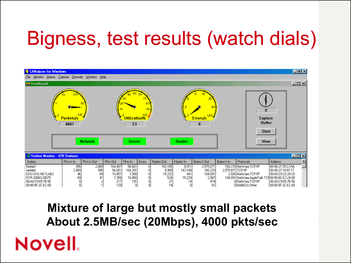# Bigness, test results (watch dials)



#### **Mixture of large but mostly small packets About 2.5MB/sec (20Mbps), 4000 pkts/sec**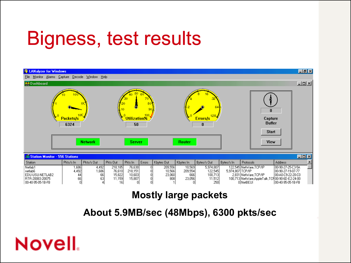

#### **Mostly large packets**

#### **About 5.9MB/sec (48Mbps), 6300 pkts/sec**

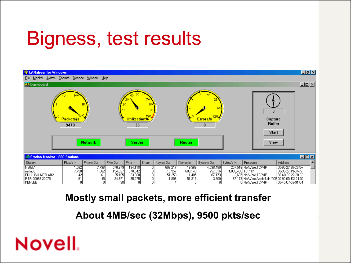

#### **Mostly small packets, more efficient transfer**

**About 4MB/sec (32Mbps), 9500 pkts/sec**

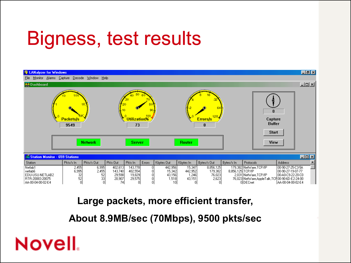

#### **Large packets, more efficient transfer,**

**About 8.9MB/sec (70Mbps), 9500 pkts/sec**

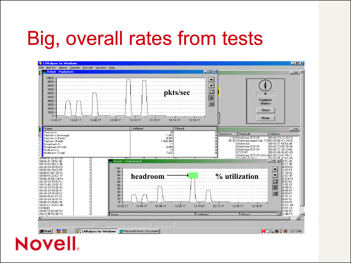# Big, overall rates from tests

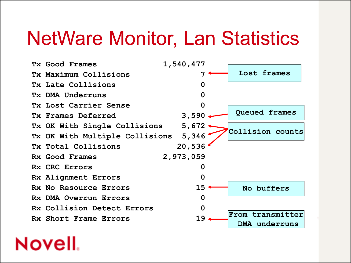#### NetWare Monitor, Lan Statistics

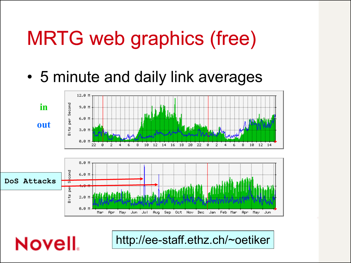# MRTG web graphics (free)

• 5 minute and daily link averages



**Novell**.

http://ee-staff.ethz.ch/~oetiker